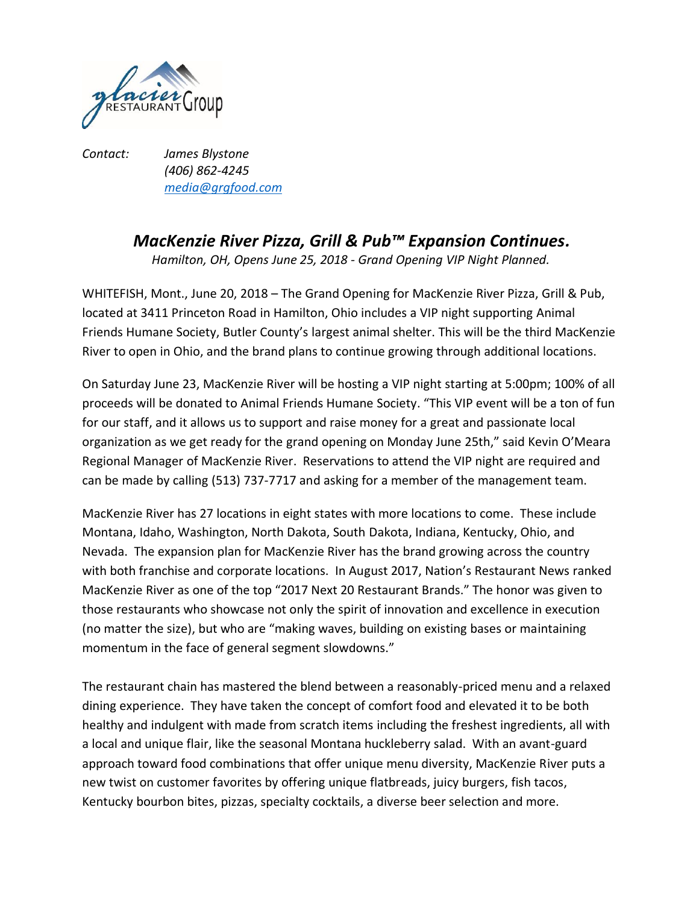

*Contact: James Blystone (406) 862-4245 [media@grgfood.com](mailto:media@grgfood.com)*

## *MacKenzie River Pizza, Grill & Pub™ Expansion Continues.*

*Hamilton, OH, Opens June 25, 2018 - Grand Opening VIP Night Planned.*

WHITEFISH, Mont., June 20, 2018 – The Grand Opening for MacKenzie River Pizza, Grill & Pub, located at 3411 Princeton Road in Hamilton, Ohio includes a VIP night supporting Animal Friends Humane Society, Butler County's largest animal shelter. This will be the third MacKenzie River to open in Ohio, and the brand plans to continue growing through additional locations.

On Saturday June 23, MacKenzie River will be hosting a VIP night starting at 5:00pm; 100% of all proceeds will be donated to Animal Friends Humane Society. "This VIP event will be a ton of fun for our staff, and it allows us to support and raise money for a great and passionate local organization as we get ready for the grand opening on Monday June 25th," said Kevin O'Meara Regional Manager of MacKenzie River. Reservations to attend the VIP night are required and can be made by calling (513) 737-7717 and asking for a member of the management team.

MacKenzie River has 27 locations in eight states with more locations to come. These include Montana, Idaho, Washington, North Dakota, South Dakota, Indiana, Kentucky, Ohio, and Nevada. The expansion plan for MacKenzie River has the brand growing across the country with both franchise and corporate locations. In August 2017, [Nation's Restaurant News](http://www.nrn.com/next-20/meet-2017-next-20-restaurant-brands) ranked MacKenzie River as one of the top "2017 Next 20 Restaurant Brands." The honor was given to those restaurants who showcase not only the spirit of innovation and excellence in execution (no matter the size), but who are "making waves, building on existing bases or maintaining momentum in the face of general segment slowdowns."

The restaurant chain has mastered the blend between a reasonably-priced menu and a relaxed dining experience. They have taken the concept of comfort food and elevated it to be both healthy and indulgent with made from scratch items including the freshest ingredients, all with a local and unique flair, like the seasonal Montana huckleberry salad. With an avant-guard approach toward food combinations that offer unique menu diversity, MacKenzie River puts a new twist on customer favorites by offering unique flatbreads, juicy burgers, fish tacos, Kentucky bourbon bites, pizzas, specialty cocktails, a diverse beer selection and more.